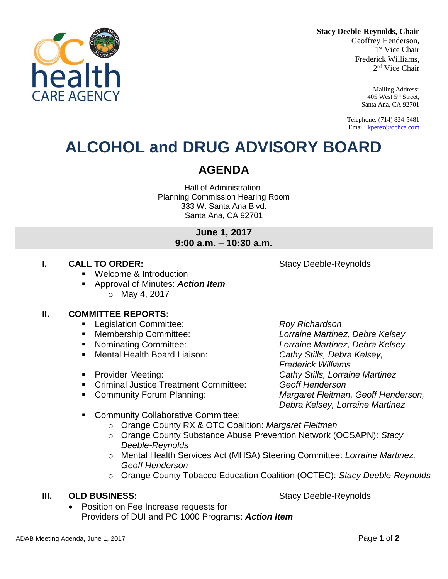**Stacy Deeble-Reynolds, Chair**

Geoffrey Henderson, 1 st Vice Chair Frederick Williams, 2 nd Vice Chair

> Mailing Address: 405 West 5th Street, Santa Ana, CA 92701

Telephone: (714) 834-5481 Email[: kperez@ochca.com](mailto:kperez@ochca.com)

## **ALCOHOL and DRUG ADVISORY BOARD**

## **AGENDA**

Hall of Administration Planning Commission Hearing Room 333 W. Santa Ana Blvd. Santa Ana, CA 92701

## **June 1, 2017 9:00 a.m. – 10:30 a.m.**

## **I. CALL TO ORDER:** Stacy Deeble-Reynolds

- Welcome & Introduction
- Approval of Minutes: *Action Item* o May 4, 2017

## **II. COMMITTEE REPORTS:**

- Legislation Committee: *Roy Richardson*
- 
- 
- Mental Health Board Liaison: *Cathy Stills, Debra Kelsey,*
- 
- Criminal Justice Treatment Committee: *Geoff Henderson*
- 

 Membership Committee: *Lorraine Martinez, Debra Kelsey* Nominating Committee: *Lorraine Martinez, Debra Kelsey Frederick Williams* Provider Meeting: *Cathy Stills, Lorraine Martinez* Community Forum Planning: *Margaret Fleitman, Geoff Henderson, Debra Kelsey, Lorraine Martinez*

- Community Collaborative Committee:
	- o Orange County RX & OTC Coalition: *Margaret Fleitman*
	- o Orange County Substance Abuse Prevention Network (OCSAPN): *Stacy Deeble-Reynolds*
	- o Mental Health Services Act (MHSA) Steering Committee: *Lorraine Martinez, Geoff Henderson*
	- o Orange County Tobacco Education Coalition (OCTEC): *Stacy Deeble-Reynolds*

## **III. OLD BUSINESS:** Stacy Deeble-Reynolds

 Position on Fee Increase requests for Providers of DUI and PC 1000 Programs: *Action Item*